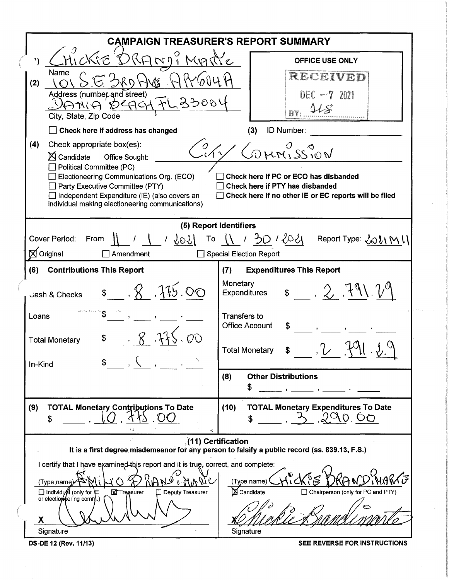|                                                                                                                                                                                                                                                                                                    | <b>CAMPAIGN TREASURER'S REPORT SUMMARY</b>                                                                                                      |  |  |  |  |  |  |
|----------------------------------------------------------------------------------------------------------------------------------------------------------------------------------------------------------------------------------------------------------------------------------------------------|-------------------------------------------------------------------------------------------------------------------------------------------------|--|--|--|--|--|--|
| <u>Nic'</u><br>A)                                                                                                                                                                                                                                                                                  | <b>OFFICE USE ONLY</b>                                                                                                                          |  |  |  |  |  |  |
| Name<br>(2)<br>Address (number and street)<br>33004<br>ANIA<br>City, State, Zip Code                                                                                                                                                                                                               | RECEIVED<br>DEC ~7 2021<br>RY:                                                                                                                  |  |  |  |  |  |  |
| Check here if address has changed                                                                                                                                                                                                                                                                  | ID Number:<br>(3)                                                                                                                               |  |  |  |  |  |  |
| Check appropriate box(es):<br>(4)<br>$\boxtimes$ Candidate<br>Office Sought:<br>Political Committee (PC)<br>Electioneering Communications Org. (ECO)<br>Party Executive Committee (PTY)<br>$\Box$ Independent Expenditure (IE) (also covers an<br>individual making electioneering communications) | COMMISSION<br>Check here if PC or ECO has disbanded<br>Check here if PTY has disbanded<br>Check here if no other IE or EC reports will be filed |  |  |  |  |  |  |
|                                                                                                                                                                                                                                                                                                    | (5) Report Identifiers                                                                                                                          |  |  |  |  |  |  |
| <b>Cover Period:</b><br>From<br>9071<br>$\boxtimes$ Original<br>Amendment                                                                                                                                                                                                                          | 30 / 2021 Report Type: 2021 M 1<br>$\begin{matrix} 0 \\ 1 \end{matrix}$<br><b>Special Election Report</b>                                       |  |  |  |  |  |  |
| <b>Contributions This Report</b><br>(6)                                                                                                                                                                                                                                                            | <b>Expenditures This Report</b><br>(7)                                                                                                          |  |  |  |  |  |  |
| $\frac{1}{8}$ , $\frac{1}{8}$ , $\frac{1}{15}$ , 00<br>Jash & Checks                                                                                                                                                                                                                               | Monetary<br>$= 2.791.29$<br><b>Expenditures</b>                                                                                                 |  |  |  |  |  |  |
| Loans<br>R<br><b>Total Monetary</b><br>In-Kind                                                                                                                                                                                                                                                     | Transfers to<br><b>Office Account</b><br>\$<br><b>Total Monetary</b>                                                                            |  |  |  |  |  |  |
|                                                                                                                                                                                                                                                                                                    | <b>Other Distributions</b><br>(8)<br>\$                                                                                                         |  |  |  |  |  |  |
| (9)<br><b>TOTAL Monetary Contributions To Date</b><br>\$<br>$\Delta$                                                                                                                                                                                                                               | <b>TOTAL Monetary Expenditures To Date</b><br>(10)<br>290.00<br>\$                                                                              |  |  |  |  |  |  |
| (11) Certification<br>It is a first degree misdemeanor for any person to falsify a public record (ss. 839.13, F.S.)                                                                                                                                                                                |                                                                                                                                                 |  |  |  |  |  |  |
| I certify that I have examined this report and it is true, correct, and complete:<br>A/H<br>(Type name)<br>□ Individual (only for E<br>$\Box$ Deputy Treasurer<br><b>X</b> Treasurer<br>or electioneering comm.)<br>X<br>Signature                                                                 | <b>E</b> Candidate<br>□ Chairperson (only for PC and PTY)<br>Signature                                                                          |  |  |  |  |  |  |
| DS-DE 12 (Rev. 11/13)                                                                                                                                                                                                                                                                              | SEE REVERSE FOR INSTRUCTIONS                                                                                                                    |  |  |  |  |  |  |

 $\bar{z}$ 

Britains.  $\bar{z}$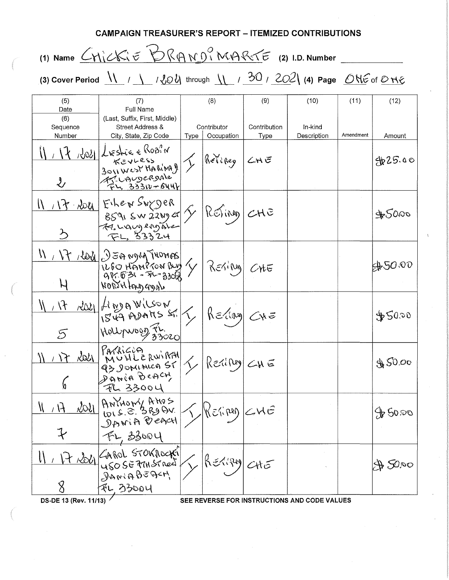CAMPAIGN TREASURER'S REPORT - ITEMIZED CONTRIBUTIONS (1) Name  $CN$  $CK$  $E$   $D$  $R$  $AN$  $N$  $N$  $R$  $C$  $E$  (2) I.D. Number (3) Cover Period  $\sqrt{1}$  /  $\sqrt{204}$  through  $\sqrt{20}$  /  $202$  (4) Page ONE of ONE (5) (7) (8) (9) (10) (11 ) (12) Date | Full Name (6) (Last, Suffix, First, Middle) Sequence | Street Address & | Contributor | Contribution | In-kind Number | City, State, Zip Code | Type | Occupation | Type | Description | Amendment | Amount  $\frac{1}{1}$ ,  $\frac{1}{1}$ ,  $\frac{1}{100}$ ,  $\frac{1}{100}$ ,  $\frac{1}{100}$ ,  $\frac{1}{100}$ ,  $\frac{1}{100}$ ,  $\frac{1}{100}$ ,  $\frac{1}{100}$  $\kappa$  = viess  $\left| \left\langle \right\rangle \right|$  (here  $\left| \left\langle \right\rangle$  and  $\left| \left\langle \right\rangle \right|$  and  $\left| \left\langle \right\rangle \right|$  $_{3011}$  west than  $|$   $|$   $|$  $2.11 - 7.1$ . 33310-644  $N$   $N$   $\lambda$   $\lambda$   $\vert$   $F$ <sup> $\vert$ </sup>  $\vert$   $F$ <sup> $\vert$ </sup> $\vert$  $\epsilon$   $\vert$   $\epsilon$   $\vert$   $\epsilon$   $\vert$   $\epsilon$   $\vert$   $\epsilon$   $\vert$   $\epsilon$   $\vert$   $\epsilon$   $\vert$   $\epsilon$   $\vert$   $\epsilon$   $\vert$   $\epsilon$   $\vert$   $\epsilon$   $\vert$   $\epsilon$   $\vert$   $\epsilon$   $\vert$   $\epsilon$   $\vert$   $\epsilon$   $\vert$   $\epsilon$   $\vert$   $\epsilon$   $\vert$   $\frac{1}{859}$ ,  $\frac{1}{2899}$  or  $\frac{1}{2}$  ( $\frac{1}{289}$   $\frac{1}{289}$   $\frac{1}{289}$   $\frac{1}{289}$   $\frac{1}{289}$   $\frac{1}{289}$  $33324$  $\frac{\text{IN} \times \text{P} \times \text{IoV}}{\text{Neo}}$   $\begin{bmatrix} 0 & \text{Unif} \\ \text{Unif} & \text{Unif} \\ \text{Unif} & \text{Unif} \\ \text{Unif} & \text{Unif} \end{bmatrix}$   $\left\{\text{Re}(S) = \text{Ne} - \text{Ne} - \text{S} \times \text{O} \times \text{Ne} \right\}$   $\left\{\text{Re}(S) = \text{Ne} - \text{S} \times \text{O} \times \text{Ne} \times \text{Ne} \times \text{Ne} \times \text{Ne} \times \text{Ne} \times \text{Ne} \times \$  $\mu$ onthay agab  $\frac{11}{17} \frac{17}{1544}$  or  $\frac{1}{1544}$  A  $\frac{1}{1544}$  A  $\frac{1}{1544}$  A  $\frac{1}{1544}$   $\frac{1}{1544}$   $\frac{1}{1544}$   $\frac{1}{1544}$   $\frac{1}{1544}$   $\frac{1}{1544}$   $\frac{1}{1544}$   $\frac{1}{1544}$   $\frac{1}{1544}$   $\frac{1}{1544}$   $\frac{1}{1544}$   $\frac{1}{1$  $\frac{1}{2}$  $5$  Moltprose  $\frac{35}{25}$  $\frac{111 \cdot 17 \cdot 2021}{93}$  MUHLERWIRTH  $\frac{1}{230011}$  f Reling  $\left\{230011\right\}$  f  $\left\{230011\right\}$  $\int \rho \, \widetilde{\mathsf{h}} \, \widetilde{\mathsf{h}}$  in Beach  $74.33004$  $\frac{11.7 \pm 201}{10.5.5.38984}$   $\frac{11.7 \pm 201}{10.5.5.38984}$   $\frac{11.7 \pm 2.01}{10.5.5.38984}$   $\frac{11.7 \pm 2.01}{10.5.5.38984}$   $\frac{11.7 \pm 2.01}{10.5.5.3609}$   $\frac{11.7 \pm 2.01}{10.5.5.3609}$   $\frac{11.7 \pm 2.01}{10.5.5.3609}$  $\frac{11}{12}$  It  $\frac{1}{200}$  (AROL STOKROCK)  $\left\{\right\}$  RETIRED CHE 2200  $JawABEBF$  $7 - 33004$ DS -DE 13 (Rev. 11/13) / SEE REVERSE FOR INSTRUCTIONS AND CODE VALUES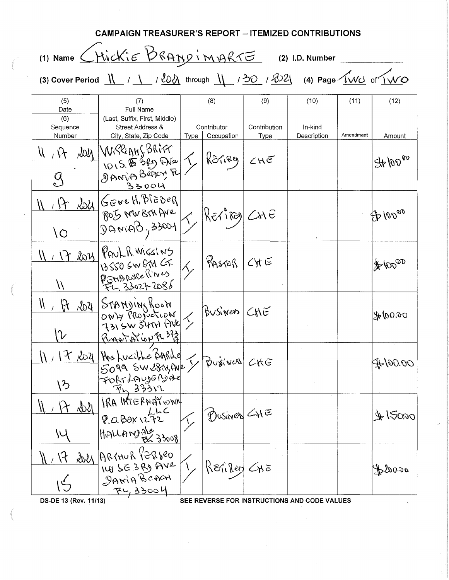| <b>CAMPAIGN TREASURER'S REPORT – ITEMIZED CONTRIBUTIONS</b>                                                                                                                                                                                                                       |                                                                                     |      |                                                                                    |                      |                                              |           |                         |  |  |
|-----------------------------------------------------------------------------------------------------------------------------------------------------------------------------------------------------------------------------------------------------------------------------------|-------------------------------------------------------------------------------------|------|------------------------------------------------------------------------------------|----------------------|----------------------------------------------|-----------|-------------------------|--|--|
| (1) Name CHickie BRANDIMARTE<br>(2) I.D. Number                                                                                                                                                                                                                                   |                                                                                     |      |                                                                                    |                      |                                              |           |                         |  |  |
| (3) Cover Period $\underline{\mathsf{N}}$ / $\underline{\mathsf{N}}$ / $\underline{\mathsf{N}}$ through $\underline{\mathsf{N}}$ / $\underline{\mathsf{N}}$ / $\underline{\mathsf{N}}$ / $\underline{\mathsf{N}}$ / (4) Page $\underline{\mathsf{N}}$ of $\underline{\mathsf{N}}$ |                                                                                     |      |                                                                                    |                      |                                              |           |                         |  |  |
| (5)<br>Date                                                                                                                                                                                                                                                                       | (7)<br>Full Name                                                                    |      | (8)                                                                                | (9)                  | (10)                                         | (11)      | (12)                    |  |  |
| (6)<br>Sequence<br>Number                                                                                                                                                                                                                                                         | (Last, Suffix, First, Middle)<br>Street Address &<br>City, State, Zip Code          | Type | Contributor<br>Occupation                                                          | Contribution<br>Type | In-kind<br>Description                       | Amendment | Amount                  |  |  |
| $\mathcal{N}$                                                                                                                                                                                                                                                                     | <b>LOU WRRIANSBRITT</b><br>OISE 380 Are T<br>35004                                  |      | RETirey                                                                            | CHE                  |                                              |           | $H$ 10000               |  |  |
| \O                                                                                                                                                                                                                                                                                | 17 Asyl GENEH, BIEBER<br>$ S^{32} \rangle$ in sin HVe $ S \rangle$ RE1 iRE) $C$ and |      |                                                                                    |                      |                                              |           | $\bigoplus$ 10000       |  |  |
| (7 202)<br>$\mathcal{N}$                                                                                                                                                                                                                                                          | PAUL R. WIGGINS<br>13550 SW 674 GF                                                  |      | $ \mathcal{P}_{\mathsf{P} \mathsf{S} \mathsf{A} \mathsf{B} \mathsf{B}} $ Cyt $\in$ |                      |                                              |           | $\text{F}^{\text{top}}$ |  |  |
| И<br>10y<br>$\mathcal{H}$<br>V                                                                                                                                                                                                                                                    | STANDINg Room<br>ONLY PRODUCTION & BUSINED CHE<br>Rigator En 333                    |      |                                                                                    |                      |                                              |           | 00.001                  |  |  |
| $\mathcal{X}^-$<br>ヽ゚゚゚゚゚                                                                                                                                                                                                                                                         | 2021 Has Lucithe Barrile<br>5099 SW 1874 Ave & Business                             |      |                                                                                    | CKG                  |                                              |           | JL 100.00               |  |  |
| $\&\&$                                                                                                                                                                                                                                                                            | IRA INTERNATIONAL<br>POBOXIZTZ<br>HIGHANS AL 33008                                  |      | DUSINED CHE                                                                        |                      |                                              |           | \$150,00                |  |  |
|                                                                                                                                                                                                                                                                                   | ROLY ARTHUR PERSED<br><u>FL, 33004</u>                                              |      | Rerillen CHE                                                                       |                      |                                              |           | forma                   |  |  |
| DS-DE 13 (Rev. 11/13)                                                                                                                                                                                                                                                             |                                                                                     |      |                                                                                    |                      | SEE REVERSE FOR INSTRUCTIONS AND CODE VALUES |           |                         |  |  |

 $\label{eq:2} \frac{1}{\sqrt{2}}\int_{\mathbb{R}^3} \frac{d\mu}{\sqrt{2}} \, \frac{d\mu}{\sqrt{2}} \, \frac{d\mu}{\sqrt{2}} \, \frac{d\mu}{\sqrt{2}} \, \frac{d\mu}{\sqrt{2}} \, \frac{d\mu}{\sqrt{2}} \, \frac{d\mu}{\sqrt{2}} \, \frac{d\mu}{\sqrt{2}} \, \frac{d\mu}{\sqrt{2}} \, \frac{d\mu}{\sqrt{2}} \, \frac{d\mu}{\sqrt{2}} \, \frac{d\mu}{\sqrt{2}} \, \frac{d\mu}{\sqrt{2}} \, \frac{d\mu}{\sqrt$ 

 $\frac{1}{2}$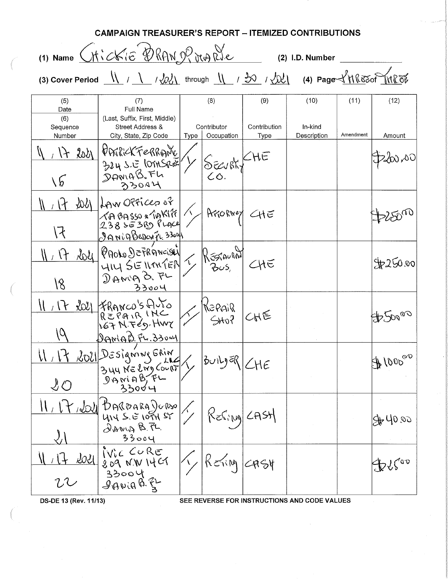|                                          | CAMPAIGN TREASURER'S REPORT – ITEMIZED CONTRIBUTIONS                                                                                                                                                    |      |                                  |                                              |                                              |                   |                |
|------------------------------------------|---------------------------------------------------------------------------------------------------------------------------------------------------------------------------------------------------------|------|----------------------------------|----------------------------------------------|----------------------------------------------|-------------------|----------------|
|                                          | (1) Name Ctickie DRAN Of MARIE                                                                                                                                                                          |      |                                  |                                              | (2) I.D. Number                              |                   |                |
|                                          | (3) Cover Period $\frac{11}{2}$ / $\frac{1}{2}$ / $\frac{1}{2}$ / $\frac{1}{2}$ through $\frac{11}{2}$ / $\frac{1}{2}$ / $\frac{1}{2}$ / $\frac{1}{2}$ (4) Page $\frac{1}{2}$ II (830 III $\frac{1}{2}$ |      |                                  |                                              |                                              |                   |                |
| (5)<br>Date<br>(6)<br>Sequence<br>Number | (7)<br><b>Full Name</b><br>(Last, Suffix, First, Middle)<br>Street Address &<br>City, State, Zip Code                                                                                                   |      | (8)<br>Contributor<br>Occupation | (9)<br>Contribution<br>Type                  | (10)<br>In-kind<br>Description               | (11)<br>Amendment | (12)<br>Amount |
| 2021<br>$\mathcal{A}$<br>$\sqrt{6}$      | VERICKFERRANC<br>324 S.E lont Sent<br>33004                                                                                                                                                             | Type | BEURKY CHE                       |                                              |                                              |                   | D200,00        |
| 沁<br>ほ                                   | LAW OPFICED OF<br>$\chi$ A BASSO * 1AKI11<br><u> IANIABerangi 330al</u>                                                                                                                                 |      | Arrorney                         | <he< td=""><td></td><td></td><td></td></he<> |                                              |                   |                |
| $\mathcal{A}$<br>18                      | Roll PRODO DEPRÁNCISE)<br>HIY SEMMAEN<br>DANIA B. FL<br>33004                                                                                                                                           |      | J RESPONDED                      |                                              |                                              |                   | 4250.00        |
| しと                                       | 2021 FRANCO'S AUTO<br>REPAIR INC<br>KET N. FED. HWY<br>DANIAD FL.330ay                                                                                                                                  |      | KZPAIR<br>5048                   | CHE                                          |                                              |                   | \$50000        |
| $\bigcup$                                | 2021 Designing Erin<br>$L_{\textrm{R}}$<br>$3$ 44 NE $lm$ Court<br>$D$ AMAB, $FL$<br>33004                                                                                                              |      | کاتران کال                       | <b>LHE</b>                                   |                                              |                   | \$1000°C       |
|                                          | <b>BARDARAJORSO</b><br>414 5. 6 1094 58<br>DANIA B. FL.<br>33004                                                                                                                                        |      | REGING                           | L A S H                                      |                                              |                   | 50,000         |
| <u>ROLI</u>                              | IVIC CURE<br>209 N.W IYCT<br>$33004$<br>$99000$                                                                                                                                                         |      | $\epsilon$ $\sim$                | -ASY                                         |                                              |                   | IP YS'OD       |
| DS-DE 13 (Rev. 11/13)                    |                                                                                                                                                                                                         |      |                                  |                                              | SEE REVERSE FOR INSTRUCTIONS AND CODE VALUES |                   |                |

 $\bar{z}$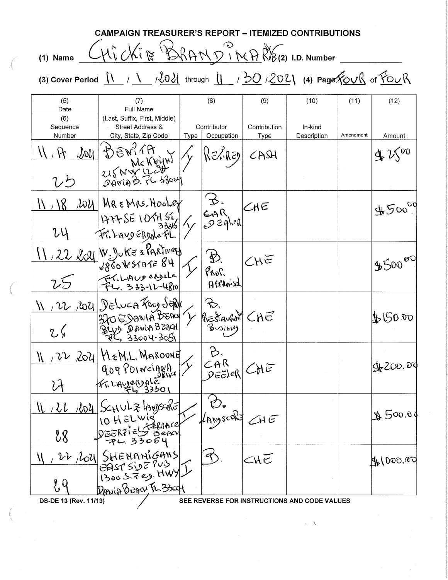|                                                                                                                                                                    | CAMPAIGN TREASURER'S REPORT – ITEMIZED CONTRIBUTIONS                       |      |                                              |                            |                                              |           |                 |  |  |
|--------------------------------------------------------------------------------------------------------------------------------------------------------------------|----------------------------------------------------------------------------|------|----------------------------------------------|----------------------------|----------------------------------------------|-----------|-----------------|--|--|
| $(1)$ Name                                                                                                                                                         | CHicki&BRANDINARB(2) I.D. Number                                           |      |                                              |                            |                                              |           |                 |  |  |
| (3) Cover Period $\frac{11}{1}$ / $\frac{1}{2021}$ through $\frac{11}{10}$ / $\frac{202}{100}$ / $\frac{202}{100}$ (4) Page $\frac{201}{100}$ of $\frac{201}{100}$ |                                                                            |      |                                              |                            |                                              |           |                 |  |  |
| (5)<br>Date<br>(6)<br>Sequence                                                                                                                                     | (7)<br>Full Name<br>(Last, Suffix, First, Middle)<br>Street Address &      |      | (8)<br>Contributor                           | (9)<br>Contribution        | (10)<br>In-kind                              | (11)      | (12)            |  |  |
| Number<br>ひり                                                                                                                                                       | City, State, Zip Code<br>Lou BEWITH<br>215 N W 12011                       | Type | Occupation<br>RELRE9                         | Type<br>$C$ ASH            | Description                                  | Amendment | Amount<br>42500 |  |  |
| 100 <sub>l</sub><br>W/8<br>VÝ                                                                                                                                      | MREMRS HooLer<br>$\frac{1177556105656}{33206}$                             |      | $\begin{matrix} 2\sqrt{3} \\ 9 \end{matrix}$ | $K =$                      |                                              |           | 4500009         |  |  |
| 7.5                                                                                                                                                                | 11, 22, 221 W. Jule 3 PARTINey<br>FL. 333-12-4810                          |      | $\mathcal{D}$<br>Prop.<br>Acrimis            | $CH\overline{\varepsilon}$ |                                              |           | $$500^{60}$     |  |  |
| 2.6                                                                                                                                                                | 11/22/2021 Deluca Fooy SERV.                                               |      | ☆                                            | CHE                        |                                              |           | \$150.00        |  |  |
| $\mathcal{V}$<br>ÙΥ                                                                                                                                                | $204$ $MeML$ . Maroond<br>909 POINCIANA<br>Fr. LAyerrale<br>Fr. LAyerrale  |      | B,<br>$CAR$<br>$DEER$                        |                            |                                              |           | \$200.00        |  |  |
| $\mathcal{U}$<br>$\ell$                                                                                                                                            | <u>Noy</u> SchulzhouseRE<br>10 HELWIG<br>FERRACE<br>う iern<br><u>33064</u> |      | Ø.<br>KANSCAS                                | $\angle H$ E               |                                              |           | #500.00         |  |  |
| 22  200 <br><u> १</u> ,०                                                                                                                                           | SHENANIGANS<br>EAST SIDE PUB<br>1300 STED HWY-<br>Donio BErra FL 33001     |      |                                              | CHĒ                        |                                              |           | \$1000.00       |  |  |
| DS-DE 13 (Rev. 11/13)                                                                                                                                              |                                                                            |      |                                              |                            | SEE REVERSE FOR INSTRUCTIONS AND CODE VALUES |           |                 |  |  |

 $\frac{1}{2} \frac{1}{2} \sqrt{2}$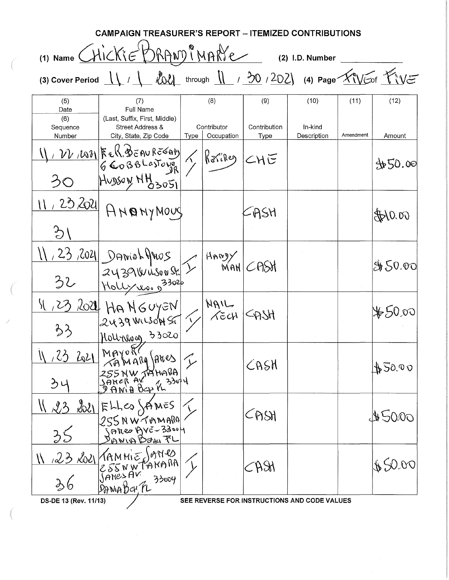**CAMPAIGN TREASURER'S REPORT - ITEMIZED CONTRIBUTIONS**  (1) Name  $ChickE'DRAND@NDRC$  (2) I.D. Number (3) Cover Period  $\frac{11}{1}$  /  $\frac{100}{1}$  through  $\frac{11}{1}$  /  $\frac{30}{1}$  /  $\frac{202}{1}$  (4) Page  $\frac{1}{2}$  (1)  $\frac{1}{2}$ (5) | (7) | (8) | (9) | (10) | (11) | (12) Date | Full Name (6) (Last, Suffix, First, Middle) Sequence | Street Address & | Contributor | Contribution | In-kind Number | City, State, Zip Code | Type | Occupation | Type | Description | Amendment | Amount  $\frac{1}{\sqrt{1}}$   $\frac{10}{10^{2}}$   $\Big|$   $\Big|$   $\Big|$   $\Big|$   $\Big|$   $\Big|$   $\Big|$   $\Big|$   $\Big|$   $\Big|$   $\Big|$   $\Big|$   $\Big|$   $\Big|$   $\Big|$   $\Big|$   $\Big|$   $\Big|$   $\Big|$   $\Big|$   $\Big|$   $\Big|$   $\Big|$   $\Big|$   $\Big|$   $\Big|$   $\Big|$   $\Big|$   $\Big|$   $\Big|$   $\Big|$   $\Big|$   $\$  $66088L$ estove  $\gamma$ <sup>16</sup>'<sup>16'</sup><sup>14</sup>')  $CHC$  | 16'  $\frac{1}{2}$  50.00  $HvysayHHsso51$  $\frac{11.232024}{94000}$   $\sim$  CASH  $\mathcal{L}$  $\frac{123}{32}$   $\frac{2021}{24391018008}$   $\frac{23}{2302}$   $\frac{4009}{1001}$   $\frac{23}{202}$  $\mathcal{Z} \cup \mathcal{Z} \cap \mathcal{Y} \cup \mathcal{X} \cup \mathcal{Y} \cup \mathcal{Y} \mid \mathcal{Y} \mid \mathcal{Y} \mid \mathcal{Y} \cap \mathcal{Y} \cap \mathcal{Y} \mid$ 32 Holly <u>voi 3302</u>  $\frac{|S|}{25}$   $\frac{202}{100}$  HANGUYEN  $\left| \int_{0}^{N}$  NAIL  $74.39$  WLSON ST  $\frac{1}{2}$   $\frac{1}{2}$   $\frac{1}{2}$   $\frac{1}{2}$   $\frac{1}{2}$   $\frac{1}{2}$   $\frac{1}{2}$   $\frac{1}{2}$   $\frac{1}{2}$   $\frac{1}{2}$   $\frac{1}{2}$   $\frac{1}{2}$   $\frac{1}{2}$   $\frac{1}{2}$   $\frac{1}{2}$   $\frac{1}{2}$   $\frac{1}{2}$   $\frac{1}{2}$   $\frac{1}{2}$   $\frac{1}{2}$   $\frac{$  $33 - \frac{22}{1000000}33020$  $\frac{11}{23}$   $\frac{23}{255}$   $\frac{221}{255}$   $\frac{1000000}{2555}$   $\frac{255}{25}$   $\frac{255}{25}$   $\frac{255}{25}$   $\frac{255}{25}$   $\frac{255}{25}$   $\frac{255}{25}$   $\frac{255}{25}$   $\frac{255}{25}$   $\frac{255}{25}$   $\frac{255}{25}$   $\frac{255}{25}$   $\frac{255}{25}$   $\frac{255$  $\parallel$  23 221 FLLes SAMES  $255N$ W $76N$ A $25N$   $25N$   $45000$  $35$  Janes Ave-33004  $\frac{11}{23}$   $\frac{23}{255}$   $\frac{1}{255}$   $\frac{1}{255}$   $\frac{1}{20}$   $\frac{1}{255}$   $\frac{1}{20}$   $\frac{1}{255}$   $\frac{1}{20}$   $\frac{1}{25}$   $\frac{1}{25}$   $\frac{1}{25}$   $\frac{1}{25}$   $\frac{1}{25}$   $\frac{1}{25}$   $\frac{1}{25}$   $\frac{1}{25}$   $\frac{1}{25}$   $\frac{1}{25}$   $\frac{1$ 36 SANABCK 73004 OS-DE 13 (Rev. *11/13)* / SEE REVERSE FOR INSTRUCTIONS AND CODE VALUES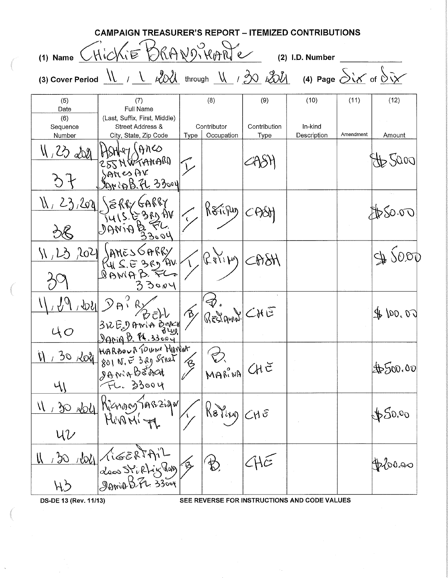|                                                 | <b>CAMPAIGN TREASURER'S REPORT – ITEMIZED CONTRIBUTIONS</b>                                                                                                                                     |             |                             |                      |                                              |           |                                |  |
|-------------------------------------------------|-------------------------------------------------------------------------------------------------------------------------------------------------------------------------------------------------|-------------|-----------------------------|----------------------|----------------------------------------------|-----------|--------------------------------|--|
| (1) Name CHICKIE ORANDIKARTE<br>(2) I.D. Number |                                                                                                                                                                                                 |             |                             |                      |                                              |           |                                |  |
|                                                 | (3) Cover Period $\underline{N}$ / $\underline{N}$ $\underline{N}$ through $\underline{N}$ / $\underline{30}$ $\underline{30}$ $\underline{30}$ (4) Page $\underline{Sis}$ of $\underline{Sis}$ |             |                             |                      |                                              |           |                                |  |
| (5)<br>Date                                     | (7)<br>Full Name                                                                                                                                                                                |             | (8)                         | (9)                  | (10)                                         | (11)      | (12)                           |  |
| (6)<br>Sequence<br>Number                       | (Last, Suffix, First, Middle)<br>Street Address &<br>City, State, Zip Code                                                                                                                      | <b>Type</b> | Contributor<br>Occupation   | Contribution<br>Type | In-kind<br>Description                       | Amendment | Amount                         |  |
| $W, Z$ as                                       | BALLY GARES<br>Janip B.FL 33004                                                                                                                                                                 |             |                             |                      |                                              |           | 0.07,                          |  |
|                                                 | $23,209$ $\sqrt{8}$ RRY GARRY<br><b>VA C2E Si SI</b><br>33004                                                                                                                                   |             | Kripy                       |                      |                                              |           | 280.00                         |  |
| 202                                             | SARRY<br>3R9AV<br>BWAL<br>33004                                                                                                                                                                 |             | $\mathbb{R}^{N_i}$ por      |                      |                                              |           | 45000                          |  |
| $ 150\rangle$                                   | $3vE_v$ AviA Berry                                                                                                                                                                              |             | $\mathcal{D}$ .<br>RESIAUNA | CHE                  |                                              |           | $\mathcal{L}$ or $\mathcal{L}$ |  |
| $\mathcal{U}$                                   | 30 Roll HARBOUR TOWN MANNER<br>801 N. E 3RD STROK<br>JAN:4BEACH                                                                                                                                 |             | MARINA CHE                  |                      |                                              |           | \$500.00                       |  |
| $U\mathcal{U}$                                  | 11, 30 No4 Rienary TAB2iqu<br>MIDMI-                                                                                                                                                            |             | RaPing                      | $<$ r $\delta$       |                                              |           | \$50,00                        |  |
| $\frac{1}{2}$                                   | Voll LigERTAIL                                                                                                                                                                                  |             | 於                           |                      |                                              |           | <b>OROOS</b>                   |  |
| DS-DE 13 (Rev. 11/13)                           |                                                                                                                                                                                                 |             |                             |                      | SEE REVERSE FOR INSTRUCTIONS AND CODE VALUES |           |                                |  |
|                                                 |                                                                                                                                                                                                 |             |                             |                      |                                              |           |                                |  |

 $\hat{\mathcal{S}}$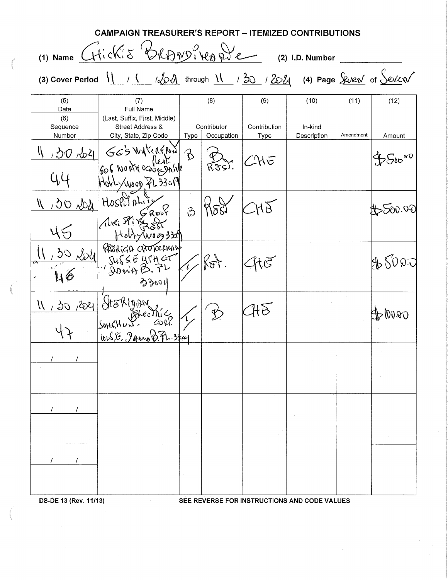|                           | (1) Name CHickis BRANDiver De                                                           |               |                           |                      | (2) I.D. Number        |           |                    |
|---------------------------|-----------------------------------------------------------------------------------------|---------------|---------------------------|----------------------|------------------------|-----------|--------------------|
|                           | (3) Cover Period $11 / 1 - 1204$ through $11 / 30 / 202$ (4) Page $90/10 + 11/10 = 120$ |               |                           |                      |                        |           |                    |
| (5)<br>Date               | (7)<br><b>Full Name</b>                                                                 |               | (8)                       | (9)                  | (10)                   | (11)      | (12)               |
| (6)<br>Sequence<br>Number | (Last, Suffix, First, Middle)<br>Street Address &<br>City, State, Zip Code              | Type          | Contributor<br>Occupation | Contribution<br>Type | In-kind<br>Description | Amendment | Amount             |
|                           | BOROZI GE'S WATERPON B                                                                  |               | $R$ $S$ $S$ )             | CHE                  |                        |           | $\mathfrak{P}$ Soo |
| 44                        | Hold / 1000 PL 33019                                                                    |               |                           |                      |                        |           |                    |
| 11 , 30 rdy Hospitality   | ALKI FILEST                                                                             | $\mathcal{C}$ | 888                       |                      |                        |           | ,500.0E            |
|                           |                                                                                         |               |                           |                      |                        |           |                    |
|                           | Fish Two 330<br>うるいり                                                                    |               | $ \%\tau\rangle$          |                      |                        |           | 8000               |
| 11, 30, 2021 Stakinan     | SOHCHUNG<br>[0.5.57, 300000000]                                                         |               |                           | HE                   |                        |           | D0000              |
|                           |                                                                                         |               |                           |                      |                        |           |                    |
|                           |                                                                                         |               |                           |                      |                        |           |                    |
|                           |                                                                                         |               |                           |                      |                        |           |                    |
|                           |                                                                                         |               |                           |                      |                        |           |                    |

 $\beta$